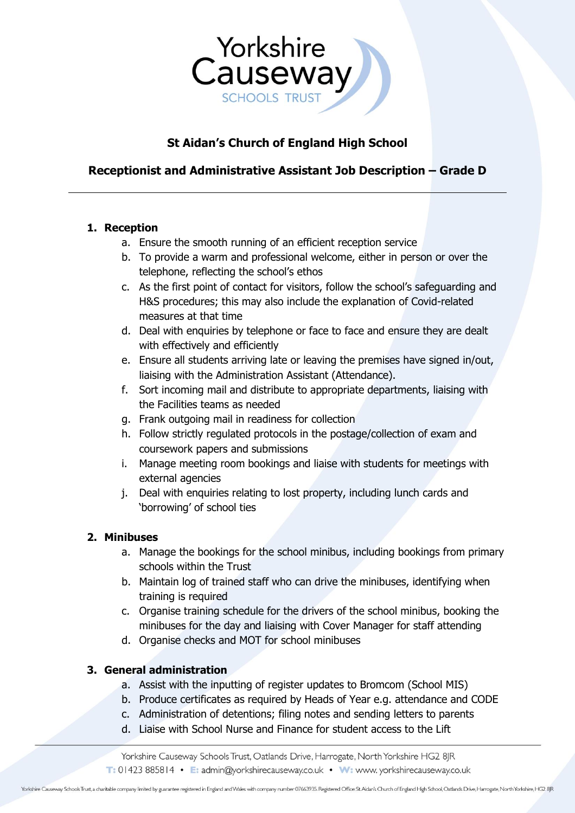

# **St Aidan's Church of England High School**

# **Receptionist and Administrative Assistant Job Description – Grade D**

### **1. Reception**

- a. Ensure the smooth running of an efficient reception service
- b. To provide a warm and professional welcome, either in person or over the telephone, reflecting the school's ethos
- c. As the first point of contact for visitors, follow the school's safeguarding and H&S procedures; this may also include the explanation of Covid-related measures at that time
- d. Deal with enquiries by telephone or face to face and ensure they are dealt with effectively and efficiently
- e. Ensure all students arriving late or leaving the premises have signed in/out, liaising with the Administration Assistant (Attendance).
- f. Sort incoming mail and distribute to appropriate departments, liaising with the Facilities teams as needed
- g. Frank outgoing mail in readiness for collection
- h. Follow strictly regulated protocols in the postage/collection of exam and coursework papers and submissions
- i. Manage meeting room bookings and liaise with students for meetings with external agencies
- j. Deal with enquiries relating to lost property, including lunch cards and 'borrowing' of school ties

### **2. Minibuses**

- a. Manage the bookings for the school minibus, including bookings from primary schools within the Trust
- b. Maintain log of trained staff who can drive the minibuses, identifying when training is required
- c. Organise training schedule for the drivers of the school minibus, booking the minibuses for the day and liaising with Cover Manager for staff attending
- d. Organise checks and MOT for school minibuses

### **3. General administration**

- a. Assist with the inputting of register updates to Bromcom (School MIS)
- b. Produce certificates as required by Heads of Year e.g. attendance and CODE
- c. Administration of detentions; filing notes and sending letters to parents
- d. Liaise with School Nurse and Finance for student access to the Lift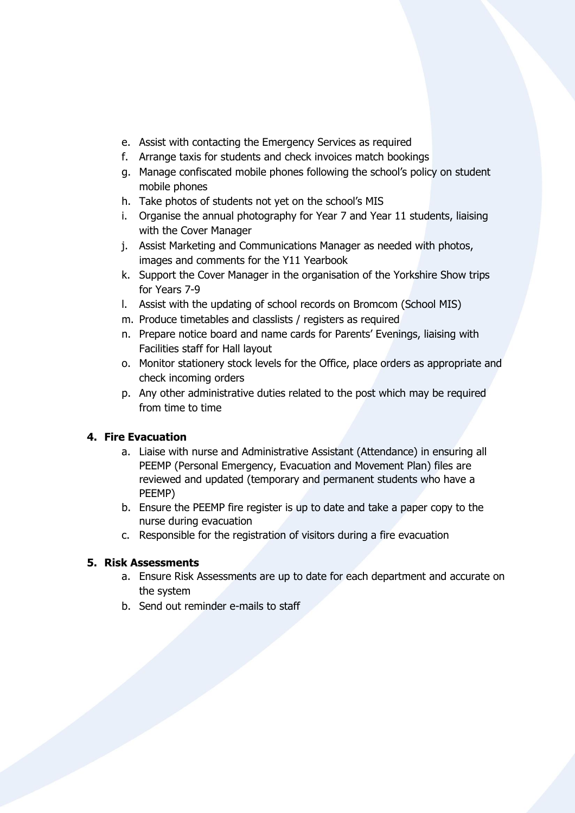- e. Assist with contacting the Emergency Services as required
- f. Arrange taxis for students and check invoices match bookings
- g. Manage confiscated mobile phones following the school's policy on student mobile phones
- h. Take photos of students not yet on the school's MIS
- i. Organise the annual photography for Year 7 and Year 11 students, liaising with the Cover Manager
- j. Assist Marketing and Communications Manager as needed with photos, images and comments for the Y11 Yearbook
- k. Support the Cover Manager in the organisation of the Yorkshire Show trips for Years 7-9
- l. Assist with the updating of school records on Bromcom (School MIS)
- m. Produce timetables and classlists / registers as required
- n. Prepare notice board and name cards for Parents' Evenings, liaising with Facilities staff for Hall layout
- o. Monitor stationery stock levels for the Office, place orders as appropriate and check incoming orders
- p. Any other administrative duties related to the post which may be required from time to time

### **4. Fire Evacuation**

- a. Liaise with nurse and Administrative Assistant (Attendance) in ensuring all PEEMP (Personal Emergency, Evacuation and Movement Plan) files are reviewed and updated (temporary and permanent students who have a PEEMP)
- b. Ensure the PEEMP fire register is up to date and take a paper copy to the nurse during evacuation
- c. Responsible for the registration of visitors during a fire evacuation

### **5. Risk Assessments**

- a. Ensure Risk Assessments are up to date for each department and accurate on the system
- b. Send out reminder e-mails to staff